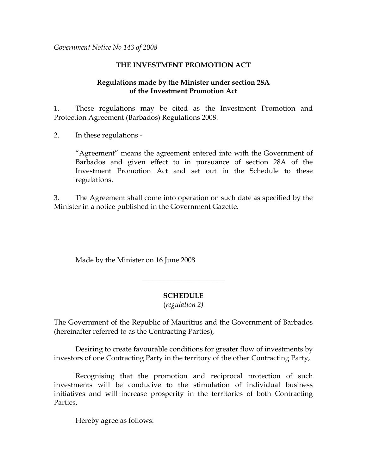*Government Notice No 143 of 2008* 

## **THE INVESTMENT PROMOTION ACT**

## **Regulations made by the Minister under section 28A of the Investment Promotion Act**

1. These regulations may be cited as the Investment Promotion and Protection Agreement (Barbados) Regulations 2008.

2. In these regulations -

"Agreement" means the agreement entered into with the Government of Barbados and given effect to in pursuance of section 28A of the Investment Promotion Act and set out in the Schedule to these regulations.

3. The Agreement shall come into operation on such date as specified by the Minister in a notice published in the Government Gazette.

Made by the Minister on 16 June 2008

### **SCHEDULE**

 $\overline{\phantom{a}}$  , where  $\overline{\phantom{a}}$  , where  $\overline{\phantom{a}}$  , where  $\overline{\phantom{a}}$ 

(*regulation 2)* 

The Government of the Republic of Mauritius and the Government of Barbados (hereinafter referred to as the Contracting Parties),

 Desiring to create favourable conditions for greater flow of investments by investors of one Contracting Party in the territory of the other Contracting Party,

 Recognising that the promotion and reciprocal protection of such investments will be conducive to the stimulation of individual business initiatives and will increase prosperity in the territories of both Contracting Parties,

Hereby agree as follows: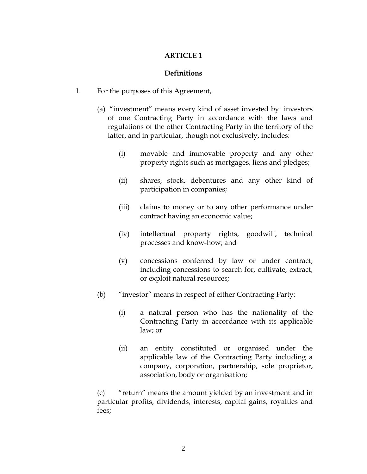## **Definitions**

- 1. For the purposes of this Agreement,
	- (a) "investment" means every kind of asset invested by investors of one Contracting Party in accordance with the laws and regulations of the other Contracting Party in the territory of the latter, and in particular, though not exclusively, includes:
		- (i) movable and immovable property and any other property rights such as mortgages, liens and pledges;
		- (ii) shares, stock, debentures and any other kind of participation in companies;
		- (iii) claims to money or to any other performance under contract having an economic value;
		- (iv) intellectual property rights, goodwill, technical processes and know-how; and
		- (v) concessions conferred by law or under contract, including concessions to search for, cultivate, extract, or exploit natural resources;
	- (b) "investor" means in respect of either Contracting Party:
		- (i) a natural person who has the nationality of the Contracting Party in accordance with its applicable law; or
		- (ii) an entity constituted or organised under the applicable law of the Contracting Party including a company, corporation, partnership, sole proprietor, association, body or organisation;

(c) "return" means the amount yielded by an investment and in particular profits, dividends, interests, capital gains, royalties and fees;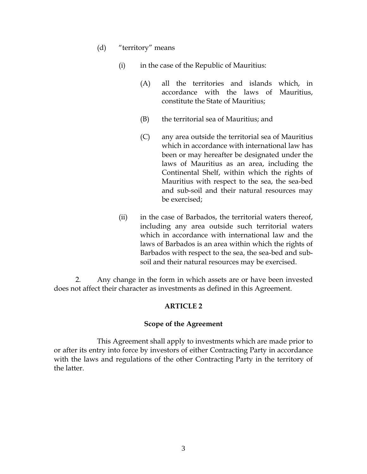- (d) "territory" means
	- (i) in the case of the Republic of Mauritius:
		- (A) all the territories and islands which, in accordance with the laws of Mauritius, constitute the State of Mauritius;
		- (B) the territorial sea of Mauritius; and
		- (C) any area outside the territorial sea of Mauritius which in accordance with international law has been or may hereafter be designated under the laws of Mauritius as an area, including the Continental Shelf, within which the rights of Mauritius with respect to the sea, the sea-bed and sub-soil and their natural resources may be exercised;
	- (ii) in the case of Barbados, the territorial waters thereof, including any area outside such territorial waters which in accordance with international law and the laws of Barbados is an area within which the rights of Barbados with respect to the sea, the sea-bed and subsoil and their natural resources may be exercised.

2. Any change in the form in which assets are or have been invested does not affect their character as investments as defined in this Agreement.

### **ARTICLE 2**

### **Scope of the Agreement**

This Agreement shall apply to investments which are made prior to or after its entry into force by investors of either Contracting Party in accordance with the laws and regulations of the other Contracting Party in the territory of the latter.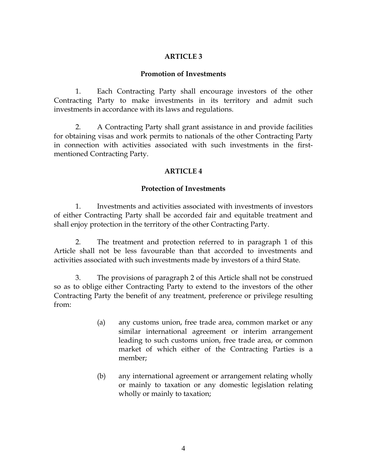### **Promotion of Investments**

1. Each Contracting Party shall encourage investors of the other Contracting Party to make investments in its territory and admit such investments in accordance with its laws and regulations.

2. A Contracting Party shall grant assistance in and provide facilities for obtaining visas and work permits to nationals of the other Contracting Party in connection with activities associated with such investments in the firstmentioned Contracting Party.

# **ARTICLE 4**

# **Protection of Investments**

1. Investments and activities associated with investments of investors of either Contracting Party shall be accorded fair and equitable treatment and shall enjoy protection in the territory of the other Contracting Party.

 2. The treatment and protection referred to in paragraph 1 of this Article shall not be less favourable than that accorded to investments and activities associated with such investments made by investors of a third State.

3. The provisions of paragraph 2 of this Article shall not be construed so as to oblige either Contracting Party to extend to the investors of the other Contracting Party the benefit of any treatment, preference or privilege resulting from:

- (a) any customs union, free trade area, common market or any similar international agreement or interim arrangement leading to such customs union, free trade area, or common market of which either of the Contracting Parties is a member;
- (b) any international agreement or arrangement relating wholly or mainly to taxation or any domestic legislation relating wholly or mainly to taxation;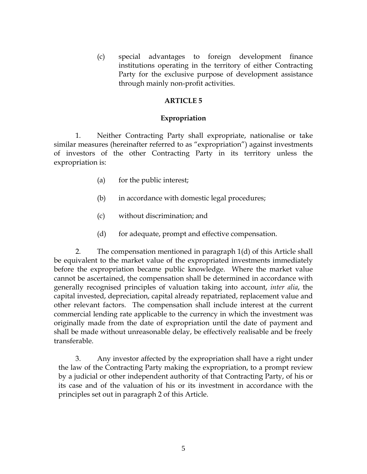(c) special advantages to foreign development finance institutions operating in the territory of either Contracting Party for the exclusive purpose of development assistance through mainly non-profit activities.

#### **ARTICLE 5**

#### **Expropriation**

 1. Neither Contracting Party shall expropriate, nationalise or take similar measures (hereinafter referred to as "expropriation") against investments of investors of the other Contracting Party in its territory unless the expropriation is:

- (a) for the public interest;
- (b) in accordance with domestic legal procedures;
- (c) without discrimination; and
- (d) for adequate, prompt and effective compensation.

2. The compensation mentioned in paragraph 1(d) of this Article shall be equivalent to the market value of the expropriated investments immediately before the expropriation became public knowledge. Where the market value cannot be ascertained, the compensation shall be determined in accordance with generally recognised principles of valuation taking into account, *inter alia*, the capital invested, depreciation, capital already repatriated, replacement value and other relevant factors. The compensation shall include interest at the current commercial lending rate applicable to the currency in which the investment was originally made from the date of expropriation until the date of payment and shall be made without unreasonable delay, be effectively realisable and be freely transferable.

3. Any investor affected by the expropriation shall have a right under the law of the Contracting Party making the expropriation, to a prompt review by a judicial or other independent authority of that Contracting Party, of his or its case and of the valuation of his or its investment in accordance with the principles set out in paragraph 2 of this Article.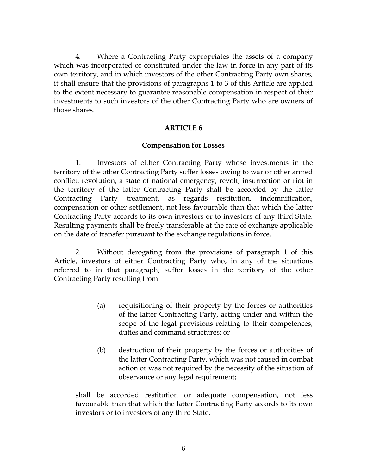4. Where a Contracting Party expropriates the assets of a company which was incorporated or constituted under the law in force in any part of its own territory, and in which investors of the other Contracting Party own shares, it shall ensure that the provisions of paragraphs 1 to 3 of this Article are applied to the extent necessary to guarantee reasonable compensation in respect of their investments to such investors of the other Contracting Party who are owners of those shares.

### **ARTICLE 6**

### **Compensation for Losses**

1. Investors of either Contracting Party whose investments in the territory of the other Contracting Party suffer losses owing to war or other armed conflict, revolution, a state of national emergency, revolt, insurrection or riot in the territory of the latter Contracting Party shall be accorded by the latter Contracting Party treatment, as regards restitution, indemnification, compensation or other settlement, not less favourable than that which the latter Contracting Party accords to its own investors or to investors of any third State. Resulting payments shall be freely transferable at the rate of exchange applicable on the date of transfer pursuant to the exchange regulations in force.

2. Without derogating from the provisions of paragraph 1 of this Article, investors of either Contracting Party who, in any of the situations referred to in that paragraph, suffer losses in the territory of the other Contracting Party resulting from:

- (a) requisitioning of their property by the forces or authorities of the latter Contracting Party, acting under and within the scope of the legal provisions relating to their competences, duties and command structures; or
- (b) destruction of their property by the forces or authorities of the latter Contracting Party, which was not caused in combat action or was not required by the necessity of the situation of observance or any legal requirement;

shall be accorded restitution or adequate compensation, not less favourable than that which the latter Contracting Party accords to its own investors or to investors of any third State.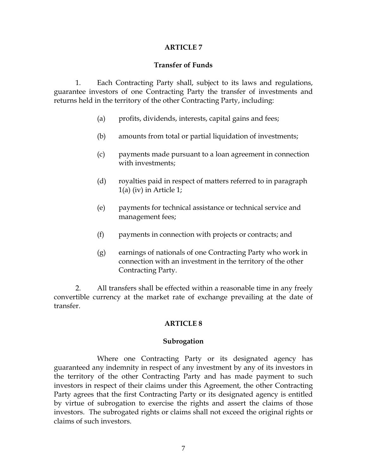### **Transfer of Funds**

 1. Each Contracting Party shall, subject to its laws and regulations, guarantee investors of one Contracting Party the transfer of investments and returns held in the territory of the other Contracting Party, including:

- (a) profits, dividends, interests, capital gains and fees;
- (b) amounts from total or partial liquidation of investments;
- (c) payments made pursuant to a loan agreement in connection with investments;
- (d) royalties paid in respect of matters referred to in paragraph 1(a) (iv) in Article 1;
- (e) payments for technical assistance or technical service and management fees;
- (f) payments in connection with projects or contracts; and
- (g) earnings of nationals of one Contracting Party who work in connection with an investment in the territory of the other Contracting Party.

2. All transfers shall be effected within a reasonable time in any freely convertible currency at the market rate of exchange prevailing at the date of transfer.

### **ARTICLE 8**

### **Subrogation**

Where one Contracting Party or its designated agency has guaranteed any indemnity in respect of any investment by any of its investors in the territory of the other Contracting Party and has made payment to such investors in respect of their claims under this Agreement, the other Contracting Party agrees that the first Contracting Party or its designated agency is entitled by virtue of subrogation to exercise the rights and assert the claims of those investors. The subrogated rights or claims shall not exceed the original rights or claims of such investors.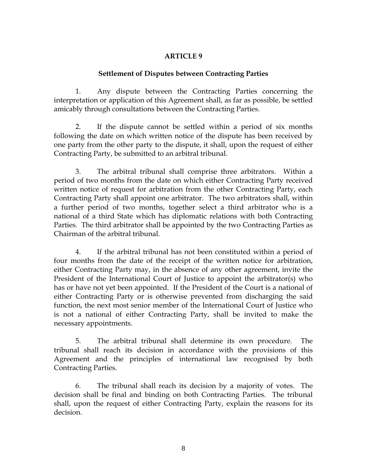### **Settlement of Disputes between Contracting Parties**

1. Any dispute between the Contracting Parties concerning the interpretation or application of this Agreement shall, as far as possible, be settled amicably through consultations between the Contracting Parties.

 2. If the dispute cannot be settled within a period of six months following the date on which written notice of the dispute has been received by one party from the other party to the dispute, it shall, upon the request of either Contracting Party, be submitted to an arbitral tribunal.

 3. The arbitral tribunal shall comprise three arbitrators. Within a period of two months from the date on which either Contracting Party received written notice of request for arbitration from the other Contracting Party, each Contracting Party shall appoint one arbitrator. The two arbitrators shall, within a further period of two months, together select a third arbitrator who is a national of a third State which has diplomatic relations with both Contracting Parties. The third arbitrator shall be appointed by the two Contracting Parties as Chairman of the arbitral tribunal.

 4. If the arbitral tribunal has not been constituted within a period of four months from the date of the receipt of the written notice for arbitration, either Contracting Party may, in the absence of any other agreement, invite the President of the International Court of Justice to appoint the arbitrator(s) who has or have not yet been appointed. If the President of the Court is a national of either Contracting Party or is otherwise prevented from discharging the said function, the next most senior member of the International Court of Justice who is not a national of either Contracting Party, shall be invited to make the necessary appointments.

 5. The arbitral tribunal shall determine its own procedure. The tribunal shall reach its decision in accordance with the provisions of this Agreement and the principles of international law recognised by both Contracting Parties.

 6. The tribunal shall reach its decision by a majority of votes. The decision shall be final and binding on both Contracting Parties. The tribunal shall, upon the request of either Contracting Party, explain the reasons for its decision.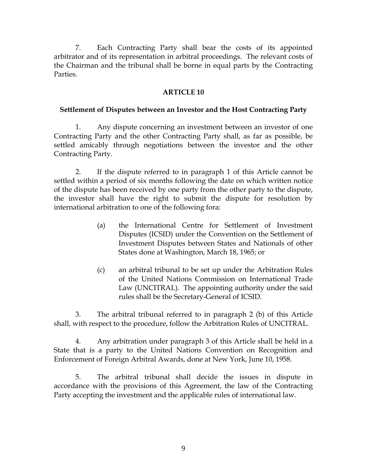7. Each Contracting Party shall bear the costs of its appointed arbitrator and of its representation in arbitral proceedings. The relevant costs of the Chairman and the tribunal shall be borne in equal parts by the Contracting Parties.

## **ARTICLE 10**

### **Settlement of Disputes between an Investor and the Host Contracting Party**

 1. Any dispute concerning an investment between an investor of one Contracting Party and the other Contracting Party shall, as far as possible, be settled amicably through negotiations between the investor and the other Contracting Party.

 2. If the dispute referred to in paragraph 1 of this Article cannot be settled within a period of six months following the date on which written notice of the dispute has been received by one party from the other party to the dispute, the investor shall have the right to submit the dispute for resolution by international arbitration to one of the following fora:

- (a) the International Centre for Settlement of Investment Disputes (ICSID) under the Convention on the Settlement of Investment Disputes between States and Nationals of other States done at Washington, March 18, 1965; or
- (c) an arbitral tribunal to be set up under the Arbitration Rules of the United Nations Commission on International Trade Law (UNCITRAL). The appointing authority under the said rules shall be the Secretary-General of ICSID.

 3. The arbitral tribunal referred to in paragraph 2 (b) of this Article shall, with respect to the procedure, follow the Arbitration Rules of UNCITRAL.

 4. Any arbitration under paragraph 3 of this Article shall be held in a State that is a party to the United Nations Convention on Recognition and Enforcement of Foreign Arbitral Awards, done at New York, June 10, 1958.

 5. The arbitral tribunal shall decide the issues in dispute in accordance with the provisions of this Agreement, the law of the Contracting Party accepting the investment and the applicable rules of international law.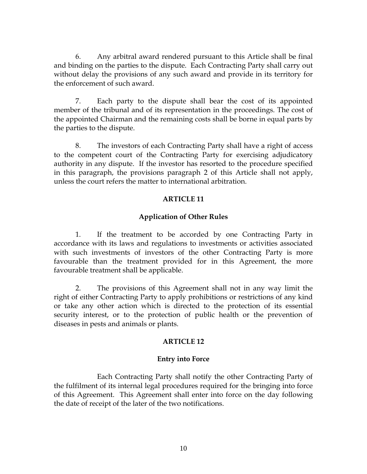6. Any arbitral award rendered pursuant to this Article shall be final and binding on the parties to the dispute. Each Contracting Party shall carry out without delay the provisions of any such award and provide in its territory for the enforcement of such award.

 7. Each party to the dispute shall bear the cost of its appointed member of the tribunal and of its representation in the proceedings. The cost of the appointed Chairman and the remaining costs shall be borne in equal parts by the parties to the dispute.

 8. The investors of each Contracting Party shall have a right of access to the competent court of the Contracting Party for exercising adjudicatory authority in any dispute. If the investor has resorted to the procedure specified in this paragraph, the provisions paragraph 2 of this Article shall not apply, unless the court refers the matter to international arbitration.

# **ARTICLE 11**

# **Application of Other Rules**

 1. If the treatment to be accorded by one Contracting Party in accordance with its laws and regulations to investments or activities associated with such investments of investors of the other Contracting Party is more favourable than the treatment provided for in this Agreement, the more favourable treatment shall be applicable.

 2. The provisions of this Agreement shall not in any way limit the right of either Contracting Party to apply prohibitions or restrictions of any kind or take any other action which is directed to the protection of its essential security interest, or to the protection of public health or the prevention of diseases in pests and animals or plants.

### **ARTICLE 12**

### **Entry into Force**

Each Contracting Party shall notify the other Contracting Party of the fulfilment of its internal legal procedures required for the bringing into force of this Agreement. This Agreement shall enter into force on the day following the date of receipt of the later of the two notifications.